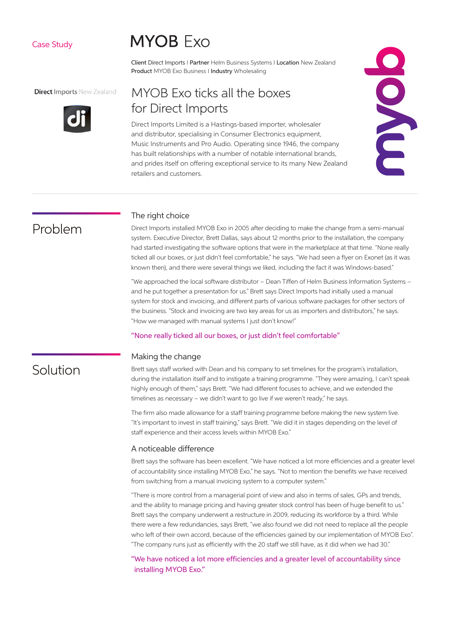# Case Study

# **MYOB** Exo

Client Direct Imports I Partner Helm Business Systems I Location New Zealand Product MYOB Exo Business I Industry Wholesaling

### **Direct Imports New Zealand**



# MYOB Exo ticks all the boxes for Direct Imports

Direct Imports Limited is a Hastings-based importer, wholesaler and distributor, specialising in Consumer Electronics equipment, Music Instruments and Pro Audio. Operating since 1946, the company has built relationships with a number of notable international brands, and prides itself on offering exceptional service to its many New Zealand retailers and customers.



# Problem

Solution

#### The right choice

Direct Imports installed MYOB Exo in 2005 after deciding to make the change from a semi-manual system. Executive Director, Brett Dallas, says about 12 months prior to the installation, the company had started investigating the software options that were in the marketplace at that time. "None really ticked all our boxes, or just didn't feel comfortable," he says. "We had seen a flyer on Exonet (as it was known then), and there were several things we liked, including the fact it was Windows-based."

"We approached the local software distributor – Dean Tiffen of Helm Business Information Systems – and he put together a presentation for us." Brett says Direct Imports had initially used a manual system for stock and invoicing, and different parts of various software packages for other sectors of the business. "Stock and invoicing are two key areas for us as importers and distributors," he says. "How we managed with manual systems I just don't know!"

#### "None really ticked all our boxes, or just didn't feel comfortable"

# Making the change

Brett says staff worked with Dean and his company to set timelines for the program's installation, during the installation itself and to instigate a training programme. "They were amazing, I can't speak highly enough of them," says Brett. "We had different focuses to achieve, and we extended the timelines as necessary – we didn't want to go live if we weren't ready," he says.

The firm also made allowance for a staff training programme before making the new system live. "It's important to invest in staff training," says Brett. "We did it in stages depending on the level of staff experience and their access levels within MYOB Exo."

# A noticeable difference

Brett says the software has been excellent. "We have noticed a lot more efficiencies and a greater level of accountability since installing MYOB Exo," he says. "Not to mention the benefits we have received from switching from a manual invoicing system to a computer system."

"There is more control from a managerial point of view and also in terms of sales, GPs and trends, and the ability to manage pricing and having greater stock control has been of huge benefit to us." Brett says the company underwent a restructure in 2009, reducing its workforce by a third. While there were a few redundancies, says Brett, "we also found we did not need to replace all the people who left of their own accord, because of the efficiencies gained by our implementation of MYOB Exo". "The company runs just as efficiently with the 20 staff we still have, as it did when we had 30."

"We have noticed a lot more efficiencies and a greater level of accountability since installing MYOB Exo."